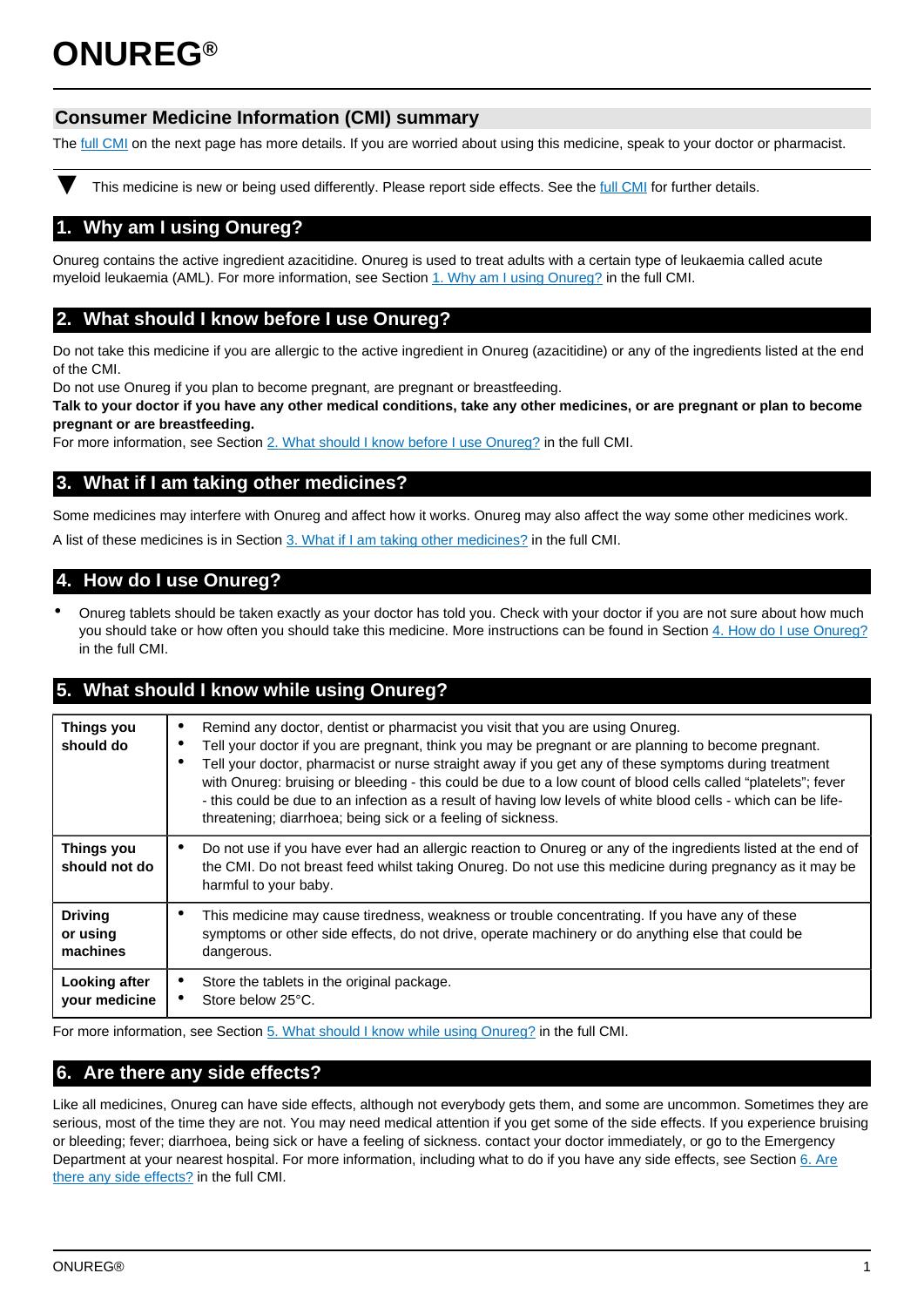# **ONUREG®**

# **Consumer Medicine Information (CMI) summary**

The [full CMI](#page-1-0) on the next page has more details. If you are worried about using this medicine, speak to your doctor or pharmacist.

This medicine is new or being used differently. Please report side effects. See the [full CMI](#page-1-0) for further details.

# **1. Why am I using Onureg?**

Onureg contains the active ingredient azacitidine. Onureg is used to treat adults with a certain type of leukaemia called acute myeloid leukaemia (AML). For more information, see Section [1. Why am I using Onureg?](#page-1-1) in the full CMI.

# **2. What should I know before I use Onureg?**

Do not take this medicine if you are allergic to the active ingredient in Onureg (azacitidine) or any of the ingredients listed at the end of the CMI.

Do not use Onureg if you plan to become pregnant, are pregnant or breastfeeding.

**Talk to your doctor if you have any other medical conditions, take any other medicines, or are pregnant or plan to become pregnant or are breastfeeding.** 

For more information, see Section [2. What should I know before I use Onureg?](#page-1-2) in the full CMI.

# **3. What if I am taking other medicines?**

Some medicines may interfere with Onureg and affect how it works. Onureg may also affect the way some other medicines work. A list of these medicines is in Section [3. What if I am taking other medicines?](#page-1-3) in the full CMI.

# **4. How do I use Onureg?**

• Onureg tablets should be taken exactly as your doctor has told you. Check with your doctor if you are not sure about how much you should take or how often you should take this medicine. More instructions can be found in Section [4. How do I use Onureg?](#page-2-0) in the full CMI.

# **5. What should I know while using Onureg?**

| Things you<br>should do     | Remind any doctor, dentist or pharmacist you visit that you are using Onureg.<br>Tell your doctor if you are pregnant, think you may be pregnant or are planning to become pregnant.<br>Tell your doctor, pharmacist or nurse straight away if you get any of these symptoms during treatment<br>with Onureg: bruising or bleeding - this could be due to a low count of blood cells called "platelets"; fever<br>- this could be due to an infection as a result of having low levels of white blood cells - which can be life-<br>threatening; diarrhoea; being sick or a feeling of sickness. |
|-----------------------------|--------------------------------------------------------------------------------------------------------------------------------------------------------------------------------------------------------------------------------------------------------------------------------------------------------------------------------------------------------------------------------------------------------------------------------------------------------------------------------------------------------------------------------------------------------------------------------------------------|
| Things you<br>should not do | Do not use if you have ever had an allergic reaction to Onureg or any of the ingredients listed at the end of<br>the CMI. Do not breast feed whilst taking Onureg. Do not use this medicine during pregnancy as it may be<br>harmful to your baby.                                                                                                                                                                                                                                                                                                                                               |
| <b>Driving</b>              | This medicine may cause tiredness, weakness or trouble concentrating. If you have any of these                                                                                                                                                                                                                                                                                                                                                                                                                                                                                                   |
| or using                    | symptoms or other side effects, do not drive, operate machinery or do anything else that could be                                                                                                                                                                                                                                                                                                                                                                                                                                                                                                |
| machines                    | dangerous.                                                                                                                                                                                                                                                                                                                                                                                                                                                                                                                                                                                       |
| Looking after               | Store the tablets in the original package.                                                                                                                                                                                                                                                                                                                                                                                                                                                                                                                                                       |
| your medicine               | Store below 25°C.                                                                                                                                                                                                                                                                                                                                                                                                                                                                                                                                                                                |

For more information, see Section [5. What should I know while using Onureg?](#page-2-1) in the full CMI.

# **6. Are there any side effects?**

Like all medicines, Onureg can have side effects, although not everybody gets them, and some are uncommon. Sometimes they are serious, most of the time they are not. You may need medical attention if you get some of the side effects. If you experience bruising or bleeding; fever; diarrhoea, being sick or have a feeling of sickness. contact your doctor immediately, or go to the Emergency Department at your nearest hospital. For more information, including what to do if you have any side effects, see Section [6. Are](#page-2-2) [there any side effects?](#page-2-2) in the full CMI.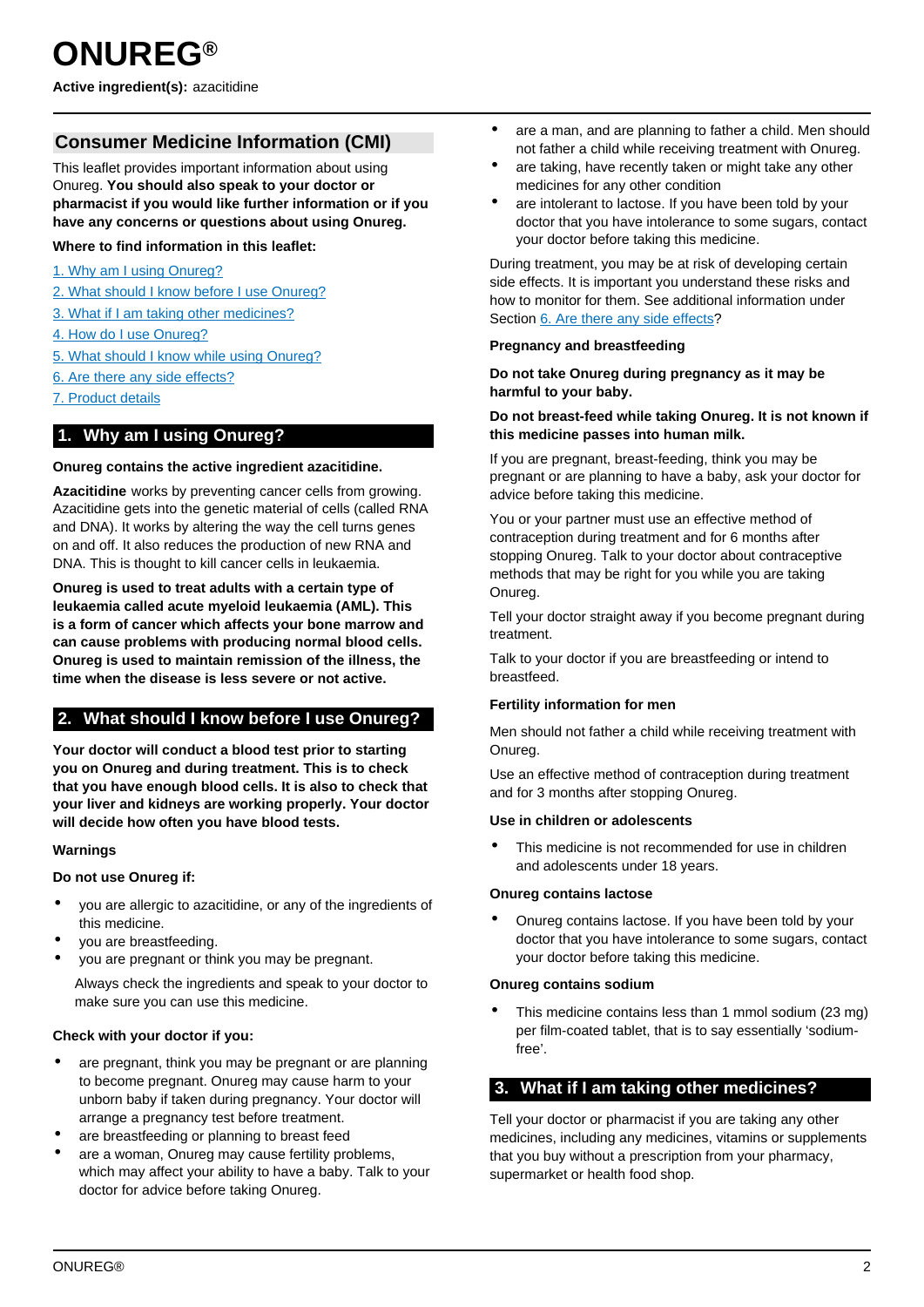# <span id="page-1-0"></span>**Consumer Medicine Information (CMI)**

This leaflet provides important information about using Onureg. **You should also speak to your doctor or pharmacist if you would like further information or if you have any concerns or questions about using Onureg.**

## **Where to find information in this leaflet:**

- [1. Why am I using Onureg?](#page-1-1)
- [2. What should I know before I use Onureg?](#page-1-2)
- [3. What if I am taking other medicines?](#page-1-3)
- [4. How do I use Onureg?](#page-1-3)
- [5. What should I know while using Onureg?](#page-2-1)
- [6. Are there any side effects?](#page-2-2)
- [7. Product details](#page-3-0)

# <span id="page-1-1"></span>**1. Why am I using Onureg?**

#### **Onureg contains the active ingredient azacitidine.**

**Azacitidine** works by preventing cancer cells from growing. Azacitidine gets into the genetic material of cells (called RNA and DNA). It works by altering the way the cell turns genes on and off. It also reduces the production of new RNA and DNA. This is thought to kill cancer cells in leukaemia.

**Onureg is used to treat adults with a certain type of leukaemia called acute myeloid leukaemia (AML). This is a form of cancer which affects your bone marrow and can cause problems with producing normal blood cells. Onureg is used to maintain remission of the illness, the time when the disease is less severe or not active.**

# <span id="page-1-2"></span>**2. What should I know before I use Onureg?**

**Your doctor will conduct a blood test prior to starting you on Onureg and during treatment. This is to check that you have enough blood cells. It is also to check that your liver and kidneys are working properly. Your doctor will decide how often you have blood tests.**

## **Warnings**

#### **Do not use Onureg if:**

- you are allergic to azacitidine, or any of the ingredients of this medicine.
- you are breastfeeding.
- you are pregnant or think you may be pregnant.

Always check the ingredients and speak to your doctor to make sure you can use this medicine.

## **Check with your doctor if you:**

- are pregnant, think you may be pregnant or are planning to become pregnant. Onureg may cause harm to your unborn baby if taken during pregnancy. Your doctor will arrange a pregnancy test before treatment.
- are breastfeeding or planning to breast feed
- are a woman, Onureg may cause fertility problems, which may affect your ability to have a baby. Talk to your doctor for advice before taking Onureg.
- are a man, and are planning to father a child. Men should not father a child while receiving treatment with Onureg.
- are taking, have recently taken or might take any other medicines for any other condition
- are intolerant to lactose. If you have been told by your doctor that you have intolerance to some sugars, contact your doctor before taking this medicine.

During treatment, you may be at risk of developing certain side effects. It is important you understand these risks and how to monitor for them. See additional information under Section [6. Are there any side effects](#page-2-2)?

#### **Pregnancy and breastfeeding**

#### **Do not take Onureg during pregnancy as it may be harmful to your baby.**

## **Do not breast-feed while taking Onureg. It is not known if this medicine passes into human milk.**

If you are pregnant, breast-feeding, think you may be pregnant or are planning to have a baby, ask your doctor for advice before taking this medicine.

You or your partner must use an effective method of contraception during treatment and for 6 months after stopping Onureg. Talk to your doctor about contraceptive methods that may be right for you while you are taking Onureg.

Tell your doctor straight away if you become pregnant during treatment.

Talk to your doctor if you are breastfeeding or intend to breastfeed.

#### **Fertility information for men**

Men should not father a child while receiving treatment with Onureg.

Use an effective method of contraception during treatment and for 3 months after stopping Onureg.

#### **Use in children or adolescents**

This medicine is not recommended for use in children and adolescents under 18 years.

#### **Onureg contains lactose**

• Onureg contains lactose. If you have been told by your doctor that you have intolerance to some sugars, contact your doctor before taking this medicine.

#### **Onureg contains sodium**

• This medicine contains less than 1 mmol sodium (23 mg) per film-coated tablet, that is to say essentially 'sodiumfree'.

# <span id="page-1-3"></span>**3. What if I am taking other medicines?**

Tell your doctor or pharmacist if you are taking any other medicines, including any medicines, vitamins or supplements that you buy without a prescription from your pharmacy, supermarket or health food shop.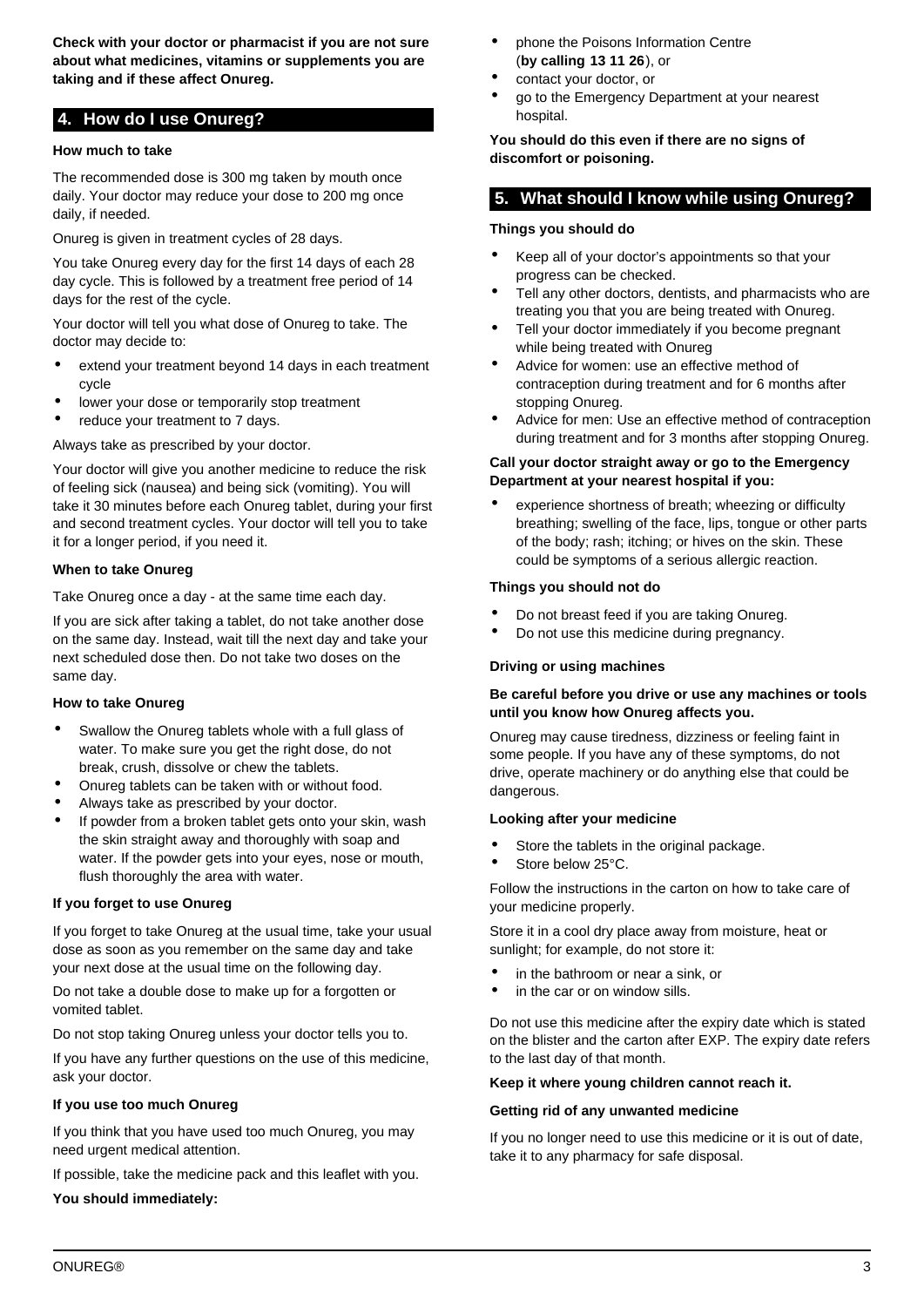**Check with your doctor or pharmacist if you are not sure about what medicines, vitamins or supplements you are taking and if these affect Onureg.**

# <span id="page-2-0"></span>**4. How do I use Onureg?**

## **How much to take**

The recommended dose is 300 mg taken by mouth once daily. Your doctor may reduce your dose to 200 mg once daily, if needed.

Onureg is given in treatment cycles of 28 days.

You take Onureg every day for the first 14 days of each 28 day cycle. This is followed by a treatment free period of 14 days for the rest of the cycle.

Your doctor will tell you what dose of Onureg to take. The doctor may decide to:

- extend your treatment beyond 14 days in each treatment cycle
- lower your dose or temporarily stop treatment
- reduce your treatment to 7 days.

Always take as prescribed by your doctor.

Your doctor will give you another medicine to reduce the risk of feeling sick (nausea) and being sick (vomiting). You will take it 30 minutes before each Onureg tablet, during your first and second treatment cycles. Your doctor will tell you to take it for a longer period, if you need it.

## **When to take Onureg**

Take Onureg once a day - at the same time each day.

If you are sick after taking a tablet, do not take another dose on the same day. Instead, wait till the next day and take your next scheduled dose then. Do not take two doses on the same day.

## **How to take Onureg**

- Swallow the Onureg tablets whole with a full glass of water. To make sure you get the right dose, do not break, crush, dissolve or chew the tablets.
- Onureg tablets can be taken with or without food.
- Always take as prescribed by your doctor.
- If powder from a broken tablet gets onto your skin, wash the skin straight away and thoroughly with soap and water. If the powder gets into your eyes, nose or mouth, flush thoroughly the area with water.

## **If you forget to use Onureg**

If you forget to take Onureg at the usual time, take your usual dose as soon as you remember on the same day and take your next dose at the usual time on the following day.

Do not take a double dose to make up for a forgotten or vomited tablet.

Do not stop taking Onureg unless your doctor tells you to.

If you have any further questions on the use of this medicine, ask your doctor.

## **If you use too much Onureg**

If you think that you have used too much Onureg, you may need urgent medical attention.

If possible, take the medicine pack and this leaflet with you.

**You should immediately:**

- phone the Poisons Information Centre (**by calling 13 11 26**), or
- contact your doctor, or
- go to the Emergency Department at your nearest hospital.

**You should do this even if there are no signs of discomfort or poisoning.**

# <span id="page-2-1"></span>**5. What should I know while using Onureg?**

## **Things you should do**

- Keep all of your doctor's appointments so that your progress can be checked.
- Tell any other doctors, dentists, and pharmacists who are treating you that you are being treated with Onureg.
- Tell your doctor immediately if you become pregnant while being treated with Onureg
- Advice for women: use an effective method of contraception during treatment and for 6 months after stopping Onureg.
- Advice for men: Use an effective method of contraception during treatment and for 3 months after stopping Onureg.

#### **Call your doctor straight away or go to the Emergency Department at your nearest hospital if you:**

experience shortness of breath; wheezing or difficulty breathing; swelling of the face, lips, tongue or other parts of the body; rash; itching; or hives on the skin. These could be symptoms of a serious allergic reaction.

## **Things you should not do**

- Do not breast feed if you are taking Onureg.
- Do not use this medicine during pregnancy.

## **Driving or using machines**

#### **Be careful before you drive or use any machines or tools until you know how Onureg affects you.**

Onureg may cause tiredness, dizziness or feeling faint in some people. If you have any of these symptoms, do not drive, operate machinery or do anything else that could be dangerous.

## **Looking after your medicine**

- Store the tablets in the original package.
- Store below 25°C.

Follow the instructions in the carton on how to take care of your medicine properly.

Store it in a cool dry place away from moisture, heat or sunlight; for example, do not store it:

- in the bathroom or near a sink, or
- in the car or on window sills.

Do not use this medicine after the expiry date which is stated on the blister and the carton after EXP. The expiry date refers to the last day of that month.

#### **Keep it where young children cannot reach it.**

## **Getting rid of any unwanted medicine**

<span id="page-2-2"></span>If you no longer need to use this medicine or it is out of date, take it to any pharmacy for safe disposal.